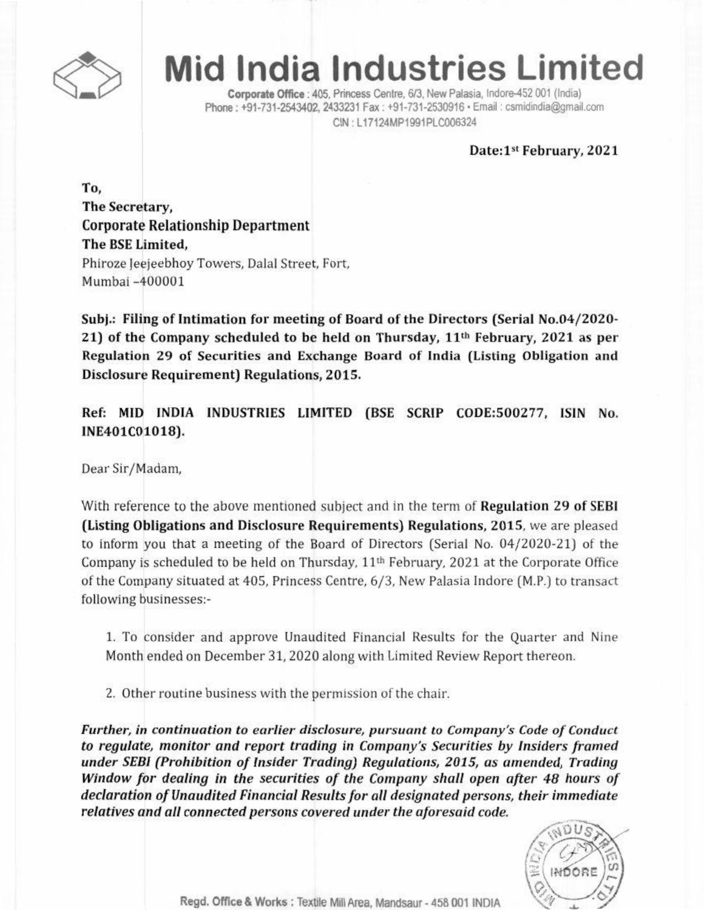

## **Mid India Industries Limited**

Corporate Office : 405, Princess Centre, 6/3, New Palasia, Indore-452 001 (India) Phone: +91-731-2543402, 2433231 Fax: +91-731-2530916 · Email: csmidindia@gmail.com CIN: L17124MP1991PLC006324

## Date:1st February, 2021

To, The Secretary, Corporate Relationship Department The BSE Limited, Phiroze Jeejeebhoy Towers, Dalal Street, Fort, Mumbai -400001

Subj.: Filing of Intimation for meeting of Board of the Directors (Serial No.04/2020- 21) of the Company scheduled to be held on Thursday, 11'b February, 2021 as per Regulation 29 of Securities and Exchange Board of India (Listing Obligation and Disclosure Requirement) Regulations, 2015.

Ref: MID INDIA INDUSTRIES LIMITED (SSE SCRIP CODE:500277, ISIN No. INE401C01018).

Dear Sir/Madam,

With reference to the above mentioned subject and in the term of Regulation 29 of SEBI (Listing Obligations and Disclosure Requirements) Regulations, 2015. we are pleased to inform you that a meeting of the Board of Directors (Serial No. 04/2020-21) of the Company is scheduled to be held on Thursday, 11'h February. 2021 at the Corporate Office of the Company Situated at 405, Princess Centre, 6/3, New Palasia Indore (M.P.) to transact following businesses:-

1. To consider and approve Unaudited Financial Results for the Quarter and Nine Month ended on December 31,2020 along with Limited Review Report thereon.

2. Other routine business with the permission of the chair.

*Further,* in *continuation to earlier disclosure, pursuant to Company's Code of Conduct* to *regulate, monitor and report trading* in *Company's Securities by Insiders framed under SE81(prohibition of Insider Trading) Regulations, 2015, as amended, Trading Window for dealing in the securities Of the Company shall open after* 48 *hours Of declaration of Unaudited Financial Results for all designated persons, their immediate relatives and all connected persons covered under tile aforesaid code.*



Regd. Office & Works: Textile Mill Area. Mandsaur - 458 001 INDIA